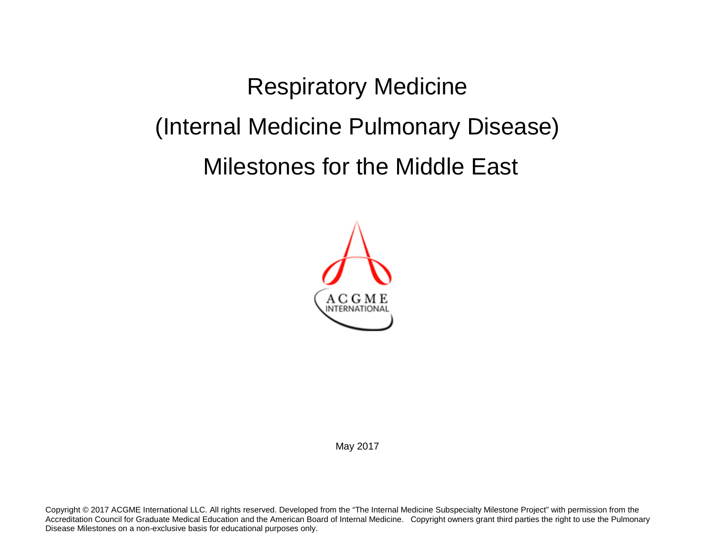Respiratory Medicine (Internal Medicine Pulmonary Disease) Milestones for the Middle East



May 2017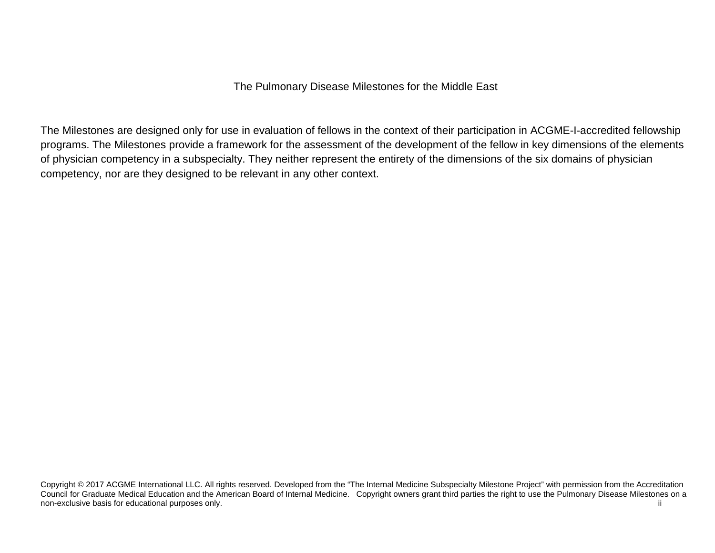The Pulmonary Disease Milestones for the Middle East

The Milestones are designed only for use in evaluation of fellows in the context of their participation in ACGME-I-accredited fellowship programs. The Milestones provide a framework for the assessment of the development of the fellow in key dimensions of the elements of physician competency in a subspecialty. They neither represent the entirety of the dimensions of the six domains of physician competency, nor are they designed to be relevant in any other context.

Copyright © 2017 ACGME International LLC. All rights reserved. Developed from the "The Internal Medicine Subspecialty Milestone Project" with permission from the Accreditation Council for Graduate Medical Education and the American Board of Internal Medicine. Copyright owners grant third parties the right to use the Pulmonary Disease Milestones on a non-exclusive basis for educational purposes only. The contract of the contract of the contract of the contract of the contract of the contract of the contract of the contract of the contract of the contract of the contrac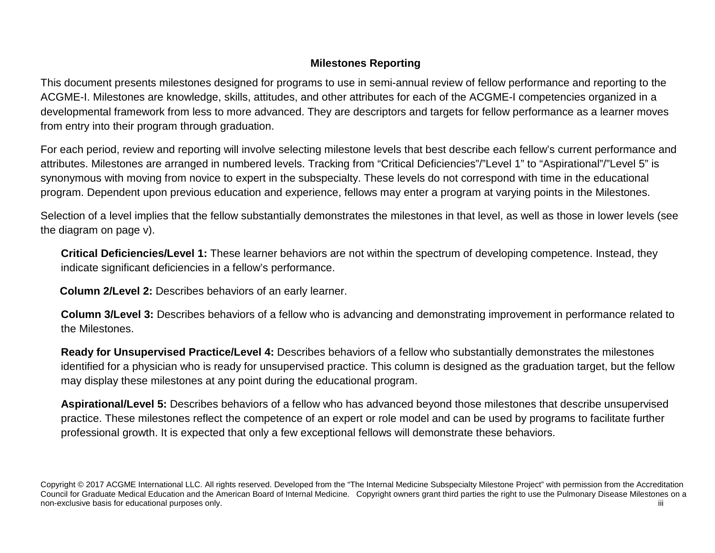# **Milestones Reporting**

This document presents milestones designed for programs to use in semi-annual review of fellow performance and reporting to the ACGME-I. Milestones are knowledge, skills, attitudes, and other attributes for each of the ACGME-I competencies organized in a developmental framework from less to more advanced. They are descriptors and targets for fellow performance as a learner moves from entry into their program through graduation.

For each period, review and reporting will involve selecting milestone levels that best describe each fellow's current performance and attributes. Milestones are arranged in numbered levels. Tracking from "Critical Deficiencies"/"Level 1" to "Aspirational"/"Level 5" is synonymous with moving from novice to expert in the subspecialty. These levels do not correspond with time in the educational program. Dependent upon previous education and experience, fellows may enter a program at varying points in the Milestones.

Selection of a level implies that the fellow substantially demonstrates the milestones in that level, as well as those in lower levels (see the diagram on page v).

**Critical Deficiencies/Level 1:** These learner behaviors are not within the spectrum of developing competence. Instead, they indicate significant deficiencies in a fellow's performance.

**Column 2/Level 2:** Describes behaviors of an early learner.

**Column 3/Level 3:** Describes behaviors of a fellow who is advancing and demonstrating improvement in performance related to the Milestones.

**Ready for Unsupervised Practice/Level 4:** Describes behaviors of a fellow who substantially demonstrates the milestones identified for a physician who is ready for unsupervised practice. This column is designed as the graduation target, but the fellow may display these milestones at any point during the educational program.

**Aspirational/Level 5:** Describes behaviors of a fellow who has advanced beyond those milestones that describe unsupervised practice. These milestones reflect the competence of an expert or role model and can be used by programs to facilitate further professional growth. It is expected that only a few exceptional fellows will demonstrate these behaviors.

Copyright © 2017 ACGME International LLC. All rights reserved. Developed from the "The Internal Medicine Subspecialty Milestone Project" with permission from the Accreditation Council for Graduate Medical Education and the American Board of Internal Medicine. Copyright owners grant third parties the right to use the Pulmonary Disease Milestones on a non-exclusive basis for educational purposes only. This is a state of the state of the state of the state of the state of the state of the state of the state of the state of the state of the state of the state of the state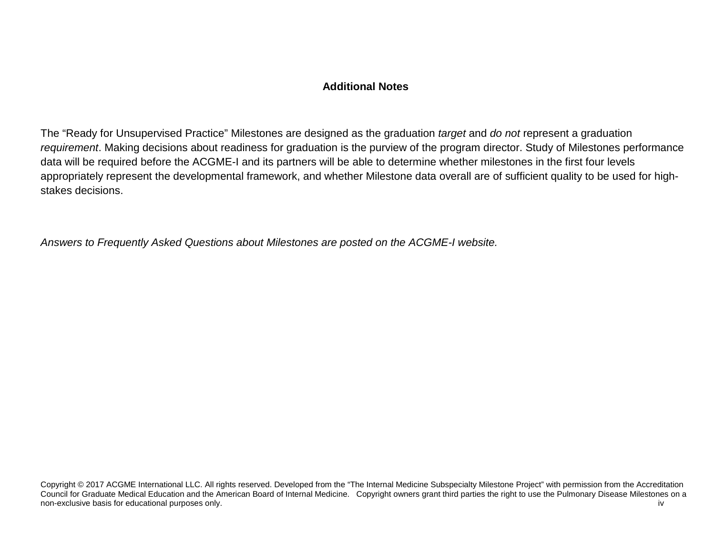### **Additional Notes**

The "Ready for Unsupervised Practice" Milestones are designed as the graduation *target* and *do not* represent a graduation *requirement*. Making decisions about readiness for graduation is the purview of the program director. Study of Milestones performance data will be required before the ACGME-I and its partners will be able to determine whether milestones in the first four levels appropriately represent the developmental framework, and whether Milestone data overall are of sufficient quality to be used for highstakes decisions.

*Answers to Frequently Asked Questions about Milestones are posted on the ACGME-I website.*

Copyright © 2017 ACGME International LLC. All rights reserved. Developed from the "The Internal Medicine Subspecialty Milestone Project" with permission from the Accreditation Council for Graduate Medical Education and the American Board of Internal Medicine. Copyright owners grant third parties the right to use the Pulmonary Disease Milestones on a non-exclusive basis for educational purposes only. The contract of the contract of the contract of the contract of the contract of the contract of the contract of the contract of the contract of the contract of the contrac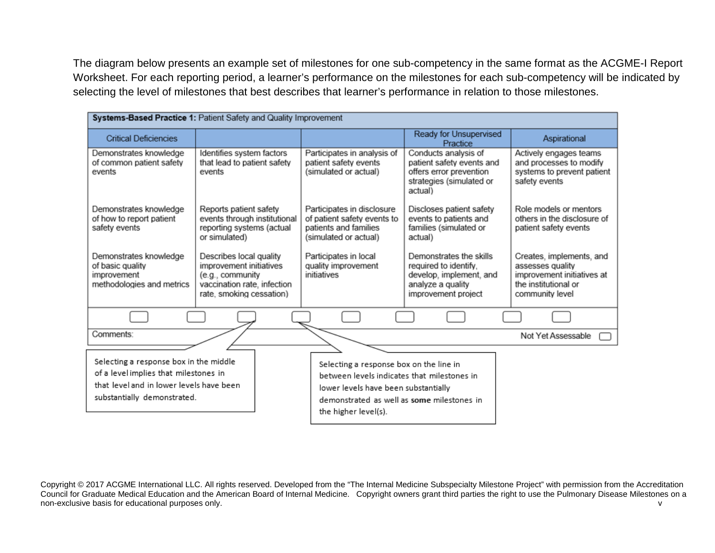The diagram below presents an example set of milestones for one sub-competency in the same format as the ACGME-I Report Worksheet. For each reporting period, a learner's performance on the milestones for each sub-competency will be indicated by selecting the level of milestones that best describes that learner's performance in relation to those milestones.

| Systems-Based Practice 1: Patient Safety and Quality Improvement                                                                                           |                                                                                                                                   |                                                                                                                                                                                                      |                                                                                                                         |                                                                                                                       |  |
|------------------------------------------------------------------------------------------------------------------------------------------------------------|-----------------------------------------------------------------------------------------------------------------------------------|------------------------------------------------------------------------------------------------------------------------------------------------------------------------------------------------------|-------------------------------------------------------------------------------------------------------------------------|-----------------------------------------------------------------------------------------------------------------------|--|
|                                                                                                                                                            |                                                                                                                                   |                                                                                                                                                                                                      |                                                                                                                         |                                                                                                                       |  |
| <b>Critical Deficiencies</b>                                                                                                                               |                                                                                                                                   |                                                                                                                                                                                                      | Ready for Unsupervised<br>Practice                                                                                      | Aspirational                                                                                                          |  |
| Demonstrates knowledge<br>of common patient safety<br>events                                                                                               | Identifies system factors<br>that lead to patient safety<br>events                                                                | Participates in analysis of<br>patient safety events<br>(simulated or actual)                                                                                                                        | Conducts analysis of<br>patient safety events and<br>offers error prevention<br>strategies (simulated or<br>actual)     | Actively engages teams<br>and processes to modify<br>systems to prevent patient<br>safety events                      |  |
| Demonstrates knowledge<br>of how to report patient<br>safety events                                                                                        | Reports patient safety<br>events through institutional<br>reporting systems (actual<br>or simulated)                              | Participates in disclosure<br>of patient safety events to<br>patients and families<br>(simulated or actual)                                                                                          | Discloses patient safety<br>events to patients and<br>families (simulated or<br>actual)                                 | Role models or mentors<br>others in the disclosure of<br>patient safety events                                        |  |
| Demonstrates knowledge<br>of basic quality<br>improvement<br>methodologies and metrics                                                                     | Describes local quality<br>improvement initiatives<br>(e.g., community<br>vaccination rate, infection<br>rate, smoking cessation) | Participates in local<br>quality improvement<br>initiatives                                                                                                                                          | Demonstrates the skills<br>required to identify.<br>develop, implement, and<br>analyze a quality<br>improvement project | Creates, implements, and<br>assesses quality<br>improvement initiatives at<br>the institutional or<br>community level |  |
|                                                                                                                                                            |                                                                                                                                   |                                                                                                                                                                                                      |                                                                                                                         |                                                                                                                       |  |
| Comments:                                                                                                                                                  |                                                                                                                                   |                                                                                                                                                                                                      |                                                                                                                         | Not Yet Assessable                                                                                                    |  |
| Selecting a response box in the middle<br>of a level implies that milestones in<br>that level and in lower levels have been<br>substantially demonstrated. |                                                                                                                                   | Selecting a response box on the line in<br>between levels indicates that milestones in<br>lower levels have been substantially<br>demonstrated as well as some milestones in<br>the higher level(s). |                                                                                                                         |                                                                                                                       |  |

Copyright © 2017 ACGME International LLC. All rights reserved. Developed from the "The Internal Medicine Subspecialty Milestone Project" with permission from the Accreditation Council for Graduate Medical Education and the American Board of Internal Medicine. Copyright owners grant third parties the right to use the Pulmonary Disease Milestones on a non-exclusive basis for educational purposes only. The contract of the contract of the contract of the contract of the contract of the contract of the contract of the contract of the contract of the contract of the contrac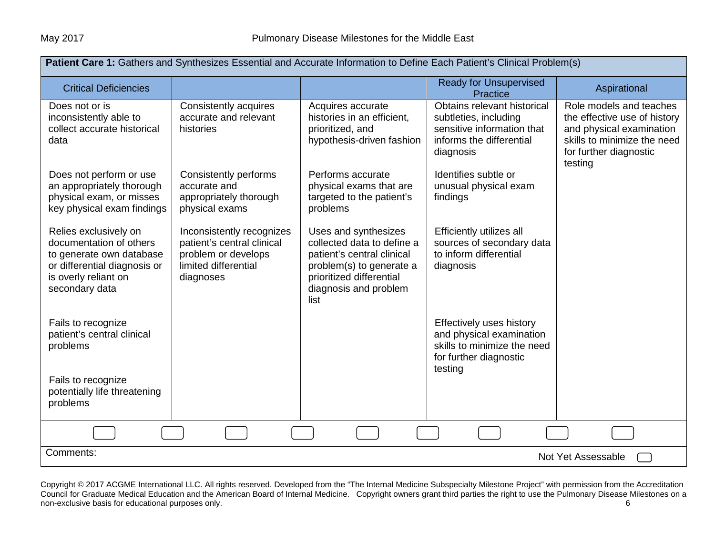| Patient Care 1: Gathers and Synthesizes Essential and Accurate Information to Define Each Patient's Clinical Problem(s)                                |                                                                                                                     |                                                                                                                                                                           |                                                                                                                             |                                                                                                                                                         |
|--------------------------------------------------------------------------------------------------------------------------------------------------------|---------------------------------------------------------------------------------------------------------------------|---------------------------------------------------------------------------------------------------------------------------------------------------------------------------|-----------------------------------------------------------------------------------------------------------------------------|---------------------------------------------------------------------------------------------------------------------------------------------------------|
| <b>Critical Deficiencies</b>                                                                                                                           |                                                                                                                     |                                                                                                                                                                           | <b>Ready for Unsupervised</b><br>Practice                                                                                   | Aspirational                                                                                                                                            |
| Does not or is<br>inconsistently able to<br>collect accurate historical<br>data                                                                        | Consistently acquires<br>accurate and relevant<br>histories                                                         | Acquires accurate<br>histories in an efficient,<br>prioritized, and<br>hypothesis-driven fashion                                                                          | Obtains relevant historical<br>subtleties, including<br>sensitive information that<br>informs the differential<br>diagnosis | Role models and teaches<br>the effective use of history<br>and physical examination<br>skills to minimize the need<br>for further diagnostic<br>testing |
| Does not perform or use<br>an appropriately thorough<br>physical exam, or misses<br>key physical exam findings                                         | Consistently performs<br>accurate and<br>appropriately thorough<br>physical exams                                   | Performs accurate<br>physical exams that are<br>targeted to the patient's<br>problems                                                                                     | Identifies subtle or<br>unusual physical exam<br>findings                                                                   |                                                                                                                                                         |
| Relies exclusively on<br>documentation of others<br>to generate own database<br>or differential diagnosis or<br>is overly reliant on<br>secondary data | Inconsistently recognizes<br>patient's central clinical<br>problem or develops<br>limited differential<br>diagnoses | Uses and synthesizes<br>collected data to define a<br>patient's central clinical<br>problem(s) to generate a<br>prioritized differential<br>diagnosis and problem<br>list | Efficiently utilizes all<br>sources of secondary data<br>to inform differential<br>diagnosis                                |                                                                                                                                                         |
| Fails to recognize<br>patient's central clinical<br>problems                                                                                           |                                                                                                                     |                                                                                                                                                                           | Effectively uses history<br>and physical examination<br>skills to minimize the need<br>for further diagnostic<br>testing    |                                                                                                                                                         |
| Fails to recognize<br>potentially life threatening<br>problems                                                                                         |                                                                                                                     |                                                                                                                                                                           |                                                                                                                             |                                                                                                                                                         |
|                                                                                                                                                        |                                                                                                                     |                                                                                                                                                                           |                                                                                                                             |                                                                                                                                                         |
| Comments:                                                                                                                                              |                                                                                                                     |                                                                                                                                                                           |                                                                                                                             | Not Yet Assessable                                                                                                                                      |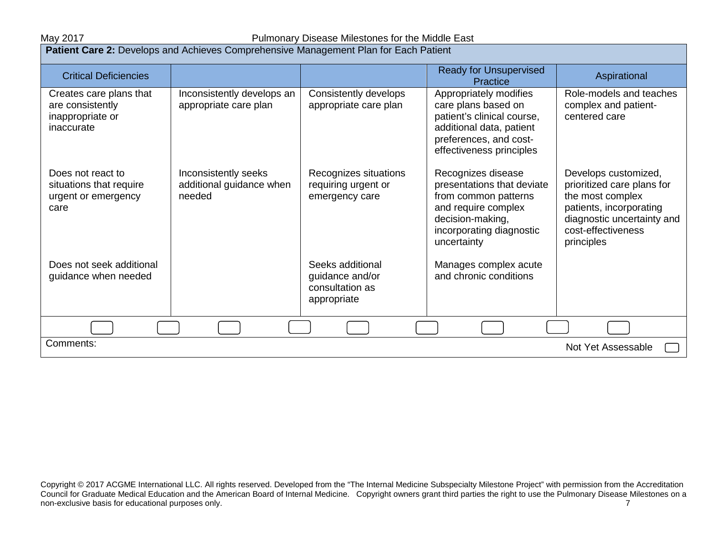May 2017 May 2017 **Pulmonary Disease Milestones for the Middle East** 

| Patient Care 2: Develops and Achieves Comprehensive Management Plan for Each Patient |                                                            |                                                                       |                                                                                                                                                                |                                                                                                                                                                     |
|--------------------------------------------------------------------------------------|------------------------------------------------------------|-----------------------------------------------------------------------|----------------------------------------------------------------------------------------------------------------------------------------------------------------|---------------------------------------------------------------------------------------------------------------------------------------------------------------------|
| <b>Critical Deficiencies</b>                                                         |                                                            |                                                                       | <b>Ready for Unsupervised</b><br>Practice                                                                                                                      | Aspirational                                                                                                                                                        |
| Creates care plans that<br>are consistently<br>inappropriate or<br>inaccurate        | Inconsistently develops an<br>appropriate care plan        | Consistently develops<br>appropriate care plan                        | Appropriately modifies<br>care plans based on<br>patient's clinical course,<br>additional data, patient<br>preferences, and cost-<br>effectiveness principles  | Role-models and teaches<br>complex and patient-<br>centered care                                                                                                    |
| Does not react to<br>situations that require<br>urgent or emergency<br>care          | Inconsistently seeks<br>additional guidance when<br>needed | Recognizes situations<br>requiring urgent or<br>emergency care        | Recognizes disease<br>presentations that deviate<br>from common patterns<br>and require complex<br>decision-making,<br>incorporating diagnostic<br>uncertainty | Develops customized,<br>prioritized care plans for<br>the most complex<br>patients, incorporating<br>diagnostic uncertainty and<br>cost-effectiveness<br>principles |
| Does not seek additional<br>guidance when needed                                     |                                                            | Seeks additional<br>guidance and/or<br>consultation as<br>appropriate | Manages complex acute<br>and chronic conditions                                                                                                                |                                                                                                                                                                     |
|                                                                                      |                                                            |                                                                       |                                                                                                                                                                |                                                                                                                                                                     |
| Comments:<br>Not Yet Assessable                                                      |                                                            |                                                                       |                                                                                                                                                                |                                                                                                                                                                     |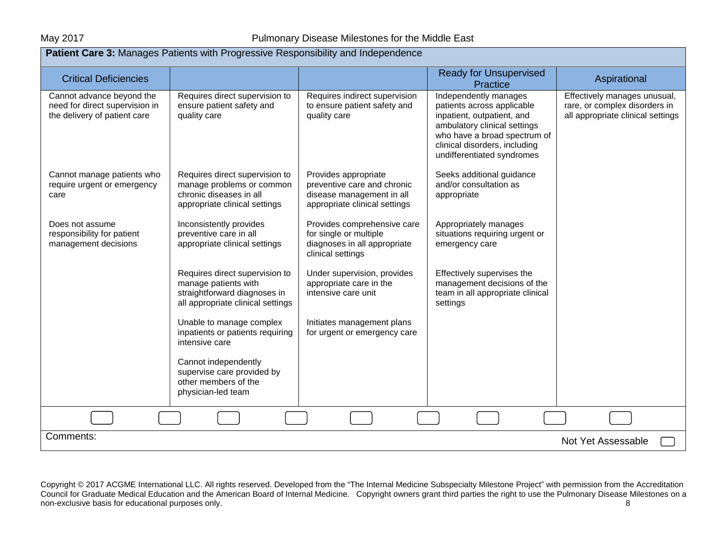| Patient Care 3: Manages Patients with Progressive Responsibility and Independence           |                                                                                                                             |                                                                                                                   |                                                                                                                                                                                                                  |                                                                                                    |
|---------------------------------------------------------------------------------------------|-----------------------------------------------------------------------------------------------------------------------------|-------------------------------------------------------------------------------------------------------------------|------------------------------------------------------------------------------------------------------------------------------------------------------------------------------------------------------------------|----------------------------------------------------------------------------------------------------|
| <b>Critical Deficiencies</b>                                                                |                                                                                                                             |                                                                                                                   | <b>Ready for Unsupervised</b><br>Practice                                                                                                                                                                        | Aspirational                                                                                       |
| Cannot advance beyond the<br>need for direct supervision in<br>the delivery of patient care | Requires direct supervision to<br>ensure patient safety and<br>quality care                                                 | Requires indirect supervision<br>to ensure patient safety and<br>quality care                                     | Independently manages<br>patients across applicable<br>inpatient, outpatient, and<br>ambulatory clinical settings<br>who have a broad spectrum of<br>clinical disorders, including<br>undifferentiated syndromes | Effectively manages unusual,<br>rare, or complex disorders in<br>all appropriate clinical settings |
| Cannot manage patients who<br>require urgent or emergency<br>care                           | Requires direct supervision to<br>manage problems or common<br>chronic diseases in all<br>appropriate clinical settings     | Provides appropriate<br>preventive care and chronic<br>disease management in all<br>appropriate clinical settings | Seeks additional guidance<br>and/or consultation as<br>appropriate                                                                                                                                               |                                                                                                    |
| Does not assume<br>responsibility for patient<br>management decisions                       | Inconsistently provides<br>preventive care in all<br>appropriate clinical settings                                          | Provides comprehensive care<br>for single or multiple<br>diagnoses in all appropriate<br>clinical settings        | Appropriately manages<br>situations requiring urgent or<br>emergency care                                                                                                                                        |                                                                                                    |
|                                                                                             | Requires direct supervision to<br>manage patients with<br>straightforward diagnoses in<br>all appropriate clinical settings | Under supervision, provides<br>appropriate care in the<br>intensive care unit                                     | Effectively supervises the<br>management decisions of the<br>team in all appropriate clinical<br>settings                                                                                                        |                                                                                                    |
|                                                                                             | Unable to manage complex<br>inpatients or patients requiring<br>intensive care                                              | Initiates management plans<br>for urgent or emergency care                                                        |                                                                                                                                                                                                                  |                                                                                                    |
|                                                                                             | Cannot independently<br>supervise care provided by<br>other members of the<br>physician-led team                            |                                                                                                                   |                                                                                                                                                                                                                  |                                                                                                    |
|                                                                                             |                                                                                                                             |                                                                                                                   |                                                                                                                                                                                                                  |                                                                                                    |
| Comments:                                                                                   |                                                                                                                             |                                                                                                                   |                                                                                                                                                                                                                  | Not Yet Assessable                                                                                 |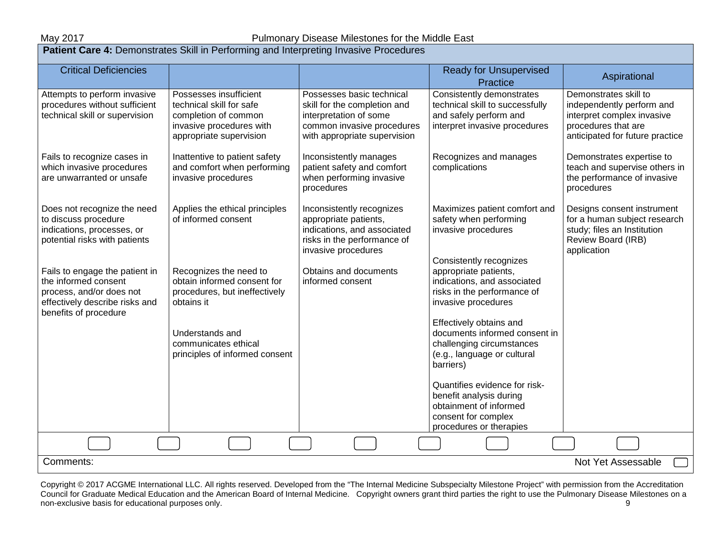### May 2017 May 2017 **Pulmonary Disease Milestones for the Middle East**

| <b>Patient Care 4:</b> Demonstrates Skill in Performing and Interpreting Invasive Procedures                                                  |                                                                                                                                   |                                                                                                                                                   |                                                                                                                                       |                                                                                                                                            |  |
|-----------------------------------------------------------------------------------------------------------------------------------------------|-----------------------------------------------------------------------------------------------------------------------------------|---------------------------------------------------------------------------------------------------------------------------------------------------|---------------------------------------------------------------------------------------------------------------------------------------|--------------------------------------------------------------------------------------------------------------------------------------------|--|
| <b>Critical Deficiencies</b>                                                                                                                  |                                                                                                                                   |                                                                                                                                                   | <b>Ready for Unsupervised</b><br>Practice                                                                                             | Aspirational                                                                                                                               |  |
| Attempts to perform invasive<br>procedures without sufficient<br>technical skill or supervision                                               | Possesses insufficient<br>technical skill for safe<br>completion of common<br>invasive procedures with<br>appropriate supervision | Possesses basic technical<br>skill for the completion and<br>interpretation of some<br>common invasive procedures<br>with appropriate supervision | Consistently demonstrates<br>technical skill to successfully<br>and safely perform and<br>interpret invasive procedures               | Demonstrates skill to<br>independently perform and<br>interpret complex invasive<br>procedures that are<br>anticipated for future practice |  |
| Fails to recognize cases in<br>which invasive procedures<br>are unwarranted or unsafe                                                         | Inattentive to patient safety<br>and comfort when performing<br>invasive procedures                                               | Inconsistently manages<br>patient safety and comfort<br>when performing invasive<br>procedures                                                    | Recognizes and manages<br>complications                                                                                               | Demonstrates expertise to<br>teach and supervise others in<br>the performance of invasive<br>procedures                                    |  |
| Does not recognize the need<br>to discuss procedure<br>indications, processes, or<br>potential risks with patients                            | Applies the ethical principles<br>of informed consent                                                                             | Inconsistently recognizes<br>appropriate patients,<br>indications, and associated<br>risks in the performance of<br>invasive procedures           | Maximizes patient comfort and<br>safety when performing<br>invasive procedures<br>Consistently recognizes                             | Designs consent instrument<br>for a human subject research<br>study; files an Institution<br>Review Board (IRB)<br>application             |  |
| Fails to engage the patient in<br>the informed consent<br>process, and/or does not<br>effectively describe risks and<br>benefits of procedure | Recognizes the need to<br>obtain informed consent for<br>procedures, but ineffectively<br>obtains it                              | Obtains and documents<br>informed consent                                                                                                         | appropriate patients,<br>indications, and associated<br>risks in the performance of<br>invasive procedures<br>Effectively obtains and |                                                                                                                                            |  |
|                                                                                                                                               | Understands and<br>communicates ethical<br>principles of informed consent                                                         |                                                                                                                                                   | documents informed consent in<br>challenging circumstances<br>(e.g., language or cultural<br>barriers)                                |                                                                                                                                            |  |
|                                                                                                                                               |                                                                                                                                   |                                                                                                                                                   | Quantifies evidence for risk-<br>benefit analysis during<br>obtainment of informed<br>consent for complex<br>procedures or therapies  |                                                                                                                                            |  |
|                                                                                                                                               |                                                                                                                                   |                                                                                                                                                   |                                                                                                                                       |                                                                                                                                            |  |
| Comments:                                                                                                                                     |                                                                                                                                   |                                                                                                                                                   |                                                                                                                                       | Not Yet Assessable                                                                                                                         |  |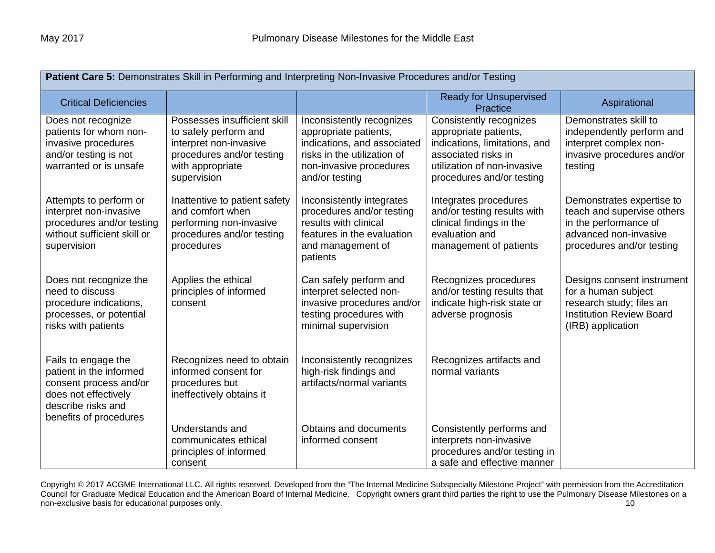| Patient Care 5: Demonstrates Skill in Performing and Interpreting Non-Invasive Procedures and/or Testing                                         |                                                                                                                                                 |                                                                                                                                                               |                                                                                                                                                                      |                                                                                                                                        |
|--------------------------------------------------------------------------------------------------------------------------------------------------|-------------------------------------------------------------------------------------------------------------------------------------------------|---------------------------------------------------------------------------------------------------------------------------------------------------------------|----------------------------------------------------------------------------------------------------------------------------------------------------------------------|----------------------------------------------------------------------------------------------------------------------------------------|
| <b>Critical Deficiencies</b>                                                                                                                     |                                                                                                                                                 |                                                                                                                                                               | <b>Ready for Unsupervised</b><br>Practice                                                                                                                            | Aspirational                                                                                                                           |
| Does not recognize<br>patients for whom non-<br>invasive procedures<br>and/or testing is not<br>warranted or is unsafe                           | Possesses insufficient skill<br>to safely perform and<br>interpret non-invasive<br>procedures and/or testing<br>with appropriate<br>supervision | Inconsistently recognizes<br>appropriate patients,<br>indications, and associated<br>risks in the utilization of<br>non-invasive procedures<br>and/or testing | Consistently recognizes<br>appropriate patients,<br>indications, limitations, and<br>associated risks in<br>utilization of non-invasive<br>procedures and/or testing | Demonstrates skill to<br>independently perform and<br>interpret complex non-<br>invasive procedures and/or<br>testing                  |
| Attempts to perform or<br>interpret non-invasive<br>procedures and/or testing<br>without sufficient skill or<br>supervision                      | Inattentive to patient safety<br>and comfort when<br>performing non-invasive<br>procedures and/or testing<br>procedures                         | Inconsistently integrates<br>procedures and/or testing<br>results with clinical<br>features in the evaluation<br>and management of<br>patients                | Integrates procedures<br>and/or testing results with<br>clinical findings in the<br>evaluation and<br>management of patients                                         | Demonstrates expertise to<br>teach and supervise others<br>in the performance of<br>advanced non-invasive<br>procedures and/or testing |
| Does not recognize the<br>need to discuss<br>procedure indications,<br>processes, or potential<br>risks with patients                            | Applies the ethical<br>principles of informed<br>consent                                                                                        | Can safely perform and<br>interpret selected non-<br>invasive procedures and/or<br>testing procedures with<br>minimal supervision                             | Recognizes procedures<br>and/or testing results that<br>indicate high-risk state or<br>adverse prognosis                                                             | Designs consent instrument<br>for a human subject<br>research study; files an<br><b>Institution Review Board</b><br>(IRB) application  |
| Fails to engage the<br>patient in the informed<br>consent process and/or<br>does not effectively<br>describe risks and<br>benefits of procedures | Recognizes need to obtain<br>informed consent for<br>procedures but<br>ineffectively obtains it                                                 | Inconsistently recognizes<br>high-risk findings and<br>artifacts/normal variants                                                                              | Recognizes artifacts and<br>normal variants                                                                                                                          |                                                                                                                                        |
|                                                                                                                                                  | Understands and<br>communicates ethical<br>principles of informed<br>consent                                                                    | <b>Obtains and documents</b><br>informed consent                                                                                                              | Consistently performs and<br>interprets non-invasive<br>procedures and/or testing in<br>a safe and effective manner                                                  |                                                                                                                                        |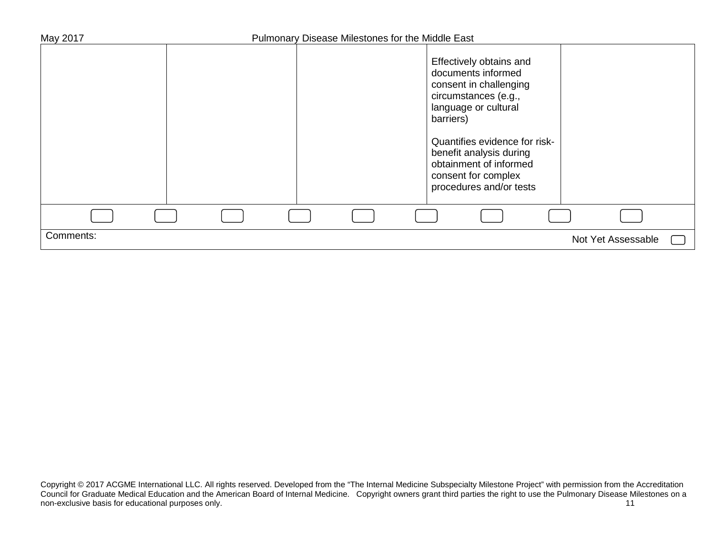| May 2017  | Pulmonary Disease Milestones for the Middle East |                                                                                                                                                                                                                                                                              |                    |
|-----------|--------------------------------------------------|------------------------------------------------------------------------------------------------------------------------------------------------------------------------------------------------------------------------------------------------------------------------------|--------------------|
|           |                                                  | Effectively obtains and<br>documents informed<br>consent in challenging<br>circumstances (e.g.,<br>language or cultural<br>barriers)<br>Quantifies evidence for risk-<br>benefit analysis during<br>obtainment of informed<br>consent for complex<br>procedures and/or tests |                    |
|           |                                                  |                                                                                                                                                                                                                                                                              |                    |
| Comments: |                                                  |                                                                                                                                                                                                                                                                              | Not Yet Assessable |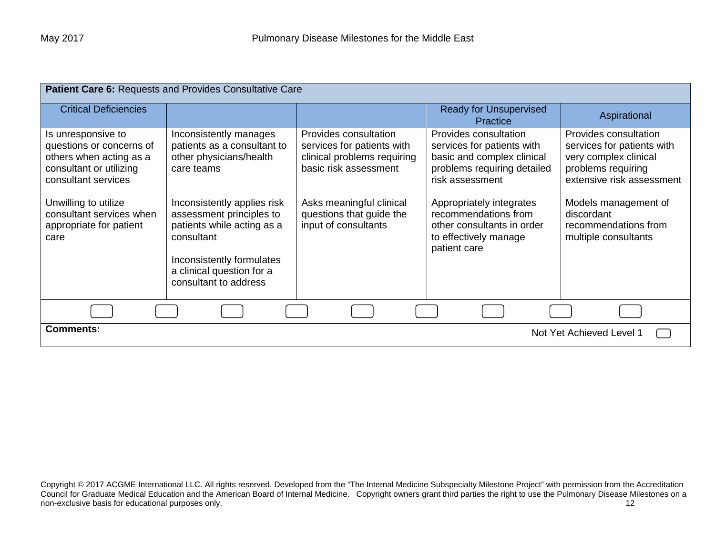| Patient Care 6: Requests and Provides Consultative Care                                                                                                                                                            |                                                                                                                                                                                                                                                                                          |                                                                                                                                                                                             |                                                                                                                                                                                                                                                                |                                                                                                                                                                                                                       |
|--------------------------------------------------------------------------------------------------------------------------------------------------------------------------------------------------------------------|------------------------------------------------------------------------------------------------------------------------------------------------------------------------------------------------------------------------------------------------------------------------------------------|---------------------------------------------------------------------------------------------------------------------------------------------------------------------------------------------|----------------------------------------------------------------------------------------------------------------------------------------------------------------------------------------------------------------------------------------------------------------|-----------------------------------------------------------------------------------------------------------------------------------------------------------------------------------------------------------------------|
| <b>Critical Deficiencies</b>                                                                                                                                                                                       |                                                                                                                                                                                                                                                                                          |                                                                                                                                                                                             | <b>Ready for Unsupervised</b><br>Practice                                                                                                                                                                                                                      | Aspirational                                                                                                                                                                                                          |
| Is unresponsive to<br>questions or concerns of<br>others when acting as a<br>consultant or utilizing<br>consultant services<br>Unwilling to utilize<br>consultant services when<br>appropriate for patient<br>care | Inconsistently manages<br>patients as a consultant to<br>other physicians/health<br>care teams<br>Inconsistently applies risk<br>assessment principles to<br>patients while acting as a<br>consultant<br>Inconsistently formulates<br>a clinical question for a<br>consultant to address | Provides consultation<br>services for patients with<br>clinical problems requiring<br>basic risk assessment<br>Asks meaningful clinical<br>questions that guide the<br>input of consultants | Provides consultation<br>services for patients with<br>basic and complex clinical<br>problems requiring detailed<br>risk assessment<br>Appropriately integrates<br>recommendations from<br>other consultants in order<br>to effectively manage<br>patient care | Provides consultation<br>services for patients with<br>very complex clinical<br>problems requiring<br>extensive risk assessment<br>Models management of<br>discordant<br>recommendations from<br>multiple consultants |
|                                                                                                                                                                                                                    |                                                                                                                                                                                                                                                                                          |                                                                                                                                                                                             |                                                                                                                                                                                                                                                                |                                                                                                                                                                                                                       |
| <b>Comments:</b><br>Not Yet Achieved Level 1                                                                                                                                                                       |                                                                                                                                                                                                                                                                                          |                                                                                                                                                                                             |                                                                                                                                                                                                                                                                |                                                                                                                                                                                                                       |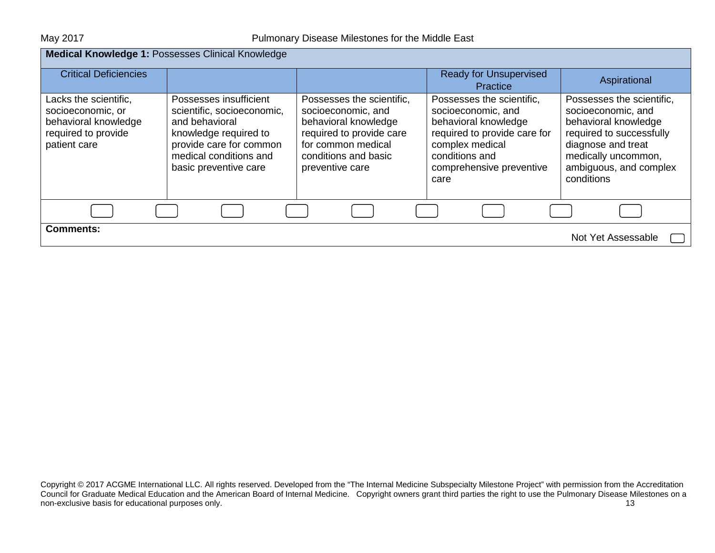| Medical Knowledge 1: Possesses Clinical Knowledge                                                         |                                                                                                                                                                               |                                                                                                                                                                      |                                                                                                                                                                                  |                                                                                                                                                                                          |
|-----------------------------------------------------------------------------------------------------------|-------------------------------------------------------------------------------------------------------------------------------------------------------------------------------|----------------------------------------------------------------------------------------------------------------------------------------------------------------------|----------------------------------------------------------------------------------------------------------------------------------------------------------------------------------|------------------------------------------------------------------------------------------------------------------------------------------------------------------------------------------|
| <b>Critical Deficiencies</b>                                                                              |                                                                                                                                                                               |                                                                                                                                                                      | <b>Ready for Unsupervised</b><br>Practice                                                                                                                                        | Aspirational                                                                                                                                                                             |
| Lacks the scientific,<br>socioeconomic, or<br>behavioral knowledge<br>required to provide<br>patient care | Possesses insufficient<br>scientific, socioeconomic,<br>and behavioral<br>knowledge required to<br>provide care for common<br>medical conditions and<br>basic preventive care | Possesses the scientific,<br>socioeconomic, and<br>behavioral knowledge<br>required to provide care<br>for common medical<br>conditions and basic<br>preventive care | Possesses the scientific,<br>socioeconomic, and<br>behavioral knowledge<br>required to provide care for<br>complex medical<br>conditions and<br>comprehensive preventive<br>care | Possesses the scientific,<br>socioeconomic, and<br>behavioral knowledge<br>required to successfully<br>diagnose and treat<br>medically uncommon,<br>ambiguous, and complex<br>conditions |
|                                                                                                           |                                                                                                                                                                               |                                                                                                                                                                      |                                                                                                                                                                                  |                                                                                                                                                                                          |
| <b>Comments:</b>                                                                                          |                                                                                                                                                                               |                                                                                                                                                                      |                                                                                                                                                                                  | Not Yet Assessable                                                                                                                                                                       |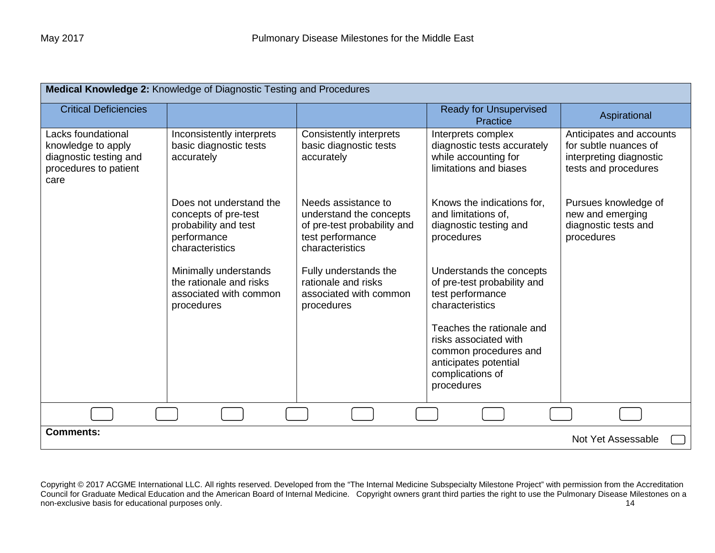| Medical Knowledge 2: Knowledge of Diagnostic Testing and Procedures                                 |                                                                                                           |                                                                                                                      |                                                                                                                                        |                                                                                                      |  |
|-----------------------------------------------------------------------------------------------------|-----------------------------------------------------------------------------------------------------------|----------------------------------------------------------------------------------------------------------------------|----------------------------------------------------------------------------------------------------------------------------------------|------------------------------------------------------------------------------------------------------|--|
| <b>Critical Deficiencies</b>                                                                        |                                                                                                           |                                                                                                                      | <b>Ready for Unsupervised</b><br>Practice                                                                                              | Aspirational                                                                                         |  |
| Lacks foundational<br>knowledge to apply<br>diagnostic testing and<br>procedures to patient<br>care | Inconsistently interprets<br>basic diagnostic tests<br>accurately                                         | <b>Consistently interprets</b><br>basic diagnostic tests<br>accurately                                               | Interprets complex<br>diagnostic tests accurately<br>while accounting for<br>limitations and biases                                    | Anticipates and accounts<br>for subtle nuances of<br>interpreting diagnostic<br>tests and procedures |  |
|                                                                                                     | Does not understand the<br>concepts of pre-test<br>probability and test<br>performance<br>characteristics | Needs assistance to<br>understand the concepts<br>of pre-test probability and<br>test performance<br>characteristics | Knows the indications for,<br>and limitations of,<br>diagnostic testing and<br>procedures                                              | Pursues knowledge of<br>new and emerging<br>diagnostic tests and<br>procedures                       |  |
|                                                                                                     | Minimally understands<br>the rationale and risks<br>associated with common<br>procedures                  | Fully understands the<br>rationale and risks<br>associated with common<br>procedures                                 | Understands the concepts<br>of pre-test probability and<br>test performance<br>characteristics                                         |                                                                                                      |  |
|                                                                                                     |                                                                                                           |                                                                                                                      | Teaches the rationale and<br>risks associated with<br>common procedures and<br>anticipates potential<br>complications of<br>procedures |                                                                                                      |  |
|                                                                                                     |                                                                                                           |                                                                                                                      |                                                                                                                                        |                                                                                                      |  |
| <b>Comments:</b>                                                                                    | Not Yet Assessable                                                                                        |                                                                                                                      |                                                                                                                                        |                                                                                                      |  |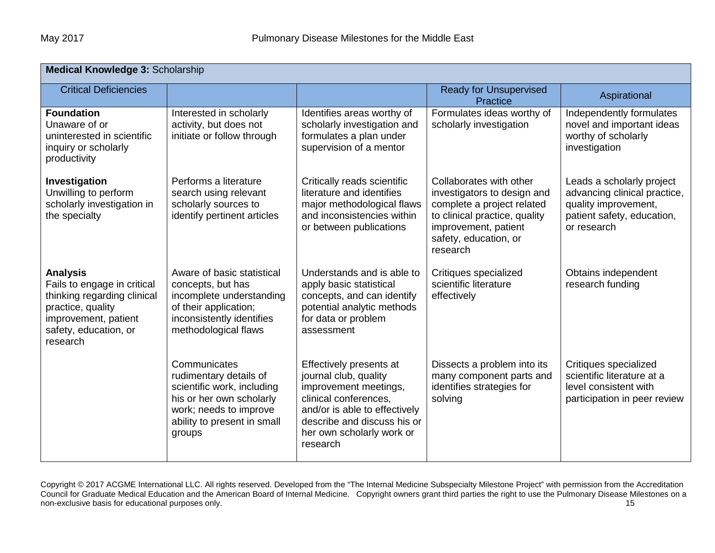| <b>Medical Knowledge 3: Scholarship</b>                                                                                                                         |                                                                                                                                                                     |                                                                                                                                                                                                             |                                                                                                                                                                                    |                                                                                                                                |
|-----------------------------------------------------------------------------------------------------------------------------------------------------------------|---------------------------------------------------------------------------------------------------------------------------------------------------------------------|-------------------------------------------------------------------------------------------------------------------------------------------------------------------------------------------------------------|------------------------------------------------------------------------------------------------------------------------------------------------------------------------------------|--------------------------------------------------------------------------------------------------------------------------------|
| <b>Critical Deficiencies</b>                                                                                                                                    |                                                                                                                                                                     |                                                                                                                                                                                                             | <b>Ready for Unsupervised</b><br><b>Practice</b>                                                                                                                                   | Aspirational                                                                                                                   |
| <b>Foundation</b><br>Unaware of or<br>uninterested in scientific<br>inquiry or scholarly<br>productivity                                                        | Interested in scholarly<br>activity, but does not<br>initiate or follow through                                                                                     | Identifies areas worthy of<br>scholarly investigation and<br>formulates a plan under<br>supervision of a mentor                                                                                             | Formulates ideas worthy of<br>scholarly investigation                                                                                                                              | Independently formulates<br>novel and important ideas<br>worthy of scholarly<br>investigation                                  |
| Investigation<br>Unwilling to perform<br>scholarly investigation in<br>the specialty                                                                            | Performs a literature<br>search using relevant<br>scholarly sources to<br>identify pertinent articles                                                               | Critically reads scientific<br>literature and identifies<br>major methodological flaws<br>and inconsistencies within<br>or between publications                                                             | Collaborates with other<br>investigators to design and<br>complete a project related<br>to clinical practice, quality<br>improvement, patient<br>safety, education, or<br>research | Leads a scholarly project<br>advancing clinical practice,<br>quality improvement,<br>patient safety, education,<br>or research |
| <b>Analysis</b><br>Fails to engage in critical<br>thinking regarding clinical<br>practice, quality<br>improvement, patient<br>safety, education, or<br>research | Aware of basic statistical<br>concepts, but has<br>incomplete understanding<br>of their application;<br>inconsistently identifies<br>methodological flaws           | Understands and is able to<br>apply basic statistical<br>concepts, and can identify<br>potential analytic methods<br>for data or problem<br>assessment                                                      | Critiques specialized<br>scientific literature<br>effectively                                                                                                                      | Obtains independent<br>research funding                                                                                        |
|                                                                                                                                                                 | Communicates<br>rudimentary details of<br>scientific work, including<br>his or her own scholarly<br>work; needs to improve<br>ability to present in small<br>groups | Effectively presents at<br>journal club, quality<br>improvement meetings,<br>clinical conferences,<br>and/or is able to effectively<br>describe and discuss his or<br>her own scholarly work or<br>research | Dissects a problem into its<br>many component parts and<br>identifies strategies for<br>solving                                                                                    | Critiques specialized<br>scientific literature at a<br>level consistent with<br>participation in peer review                   |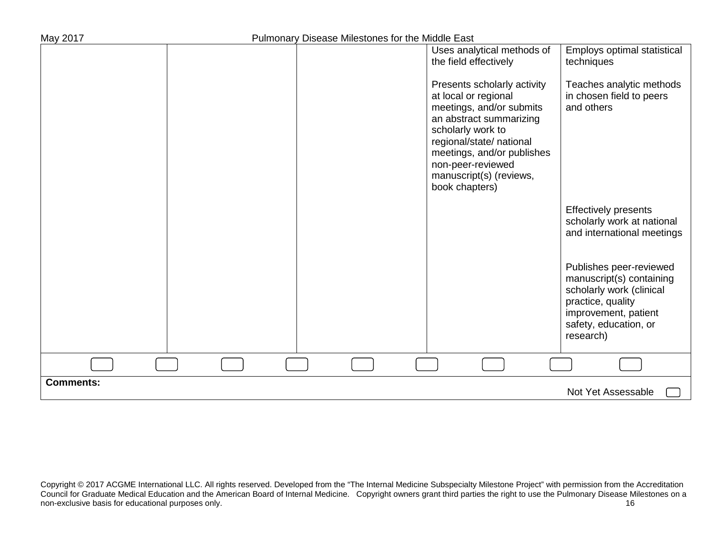| May 2017         | Pulmonary Disease Milestones for the Middle East |                                                                                                                                                                                                                                                             |                                                                                                                                                                    |
|------------------|--------------------------------------------------|-------------------------------------------------------------------------------------------------------------------------------------------------------------------------------------------------------------------------------------------------------------|--------------------------------------------------------------------------------------------------------------------------------------------------------------------|
|                  |                                                  | Uses analytical methods of<br>the field effectively                                                                                                                                                                                                         | Employs optimal statistical<br>techniques                                                                                                                          |
|                  |                                                  | Presents scholarly activity<br>at local or regional<br>meetings, and/or submits<br>an abstract summarizing<br>scholarly work to<br>regional/state/ national<br>meetings, and/or publishes<br>non-peer-reviewed<br>manuscript(s) (reviews,<br>book chapters) | Teaches analytic methods<br>in chosen field to peers<br>and others                                                                                                 |
|                  |                                                  |                                                                                                                                                                                                                                                             | <b>Effectively presents</b><br>scholarly work at national<br>and international meetings                                                                            |
|                  |                                                  |                                                                                                                                                                                                                                                             | Publishes peer-reviewed<br>manuscript(s) containing<br>scholarly work (clinical<br>practice, quality<br>improvement, patient<br>safety, education, or<br>research) |
|                  |                                                  |                                                                                                                                                                                                                                                             |                                                                                                                                                                    |
| <b>Comments:</b> |                                                  |                                                                                                                                                                                                                                                             | Not Yet Assessable                                                                                                                                                 |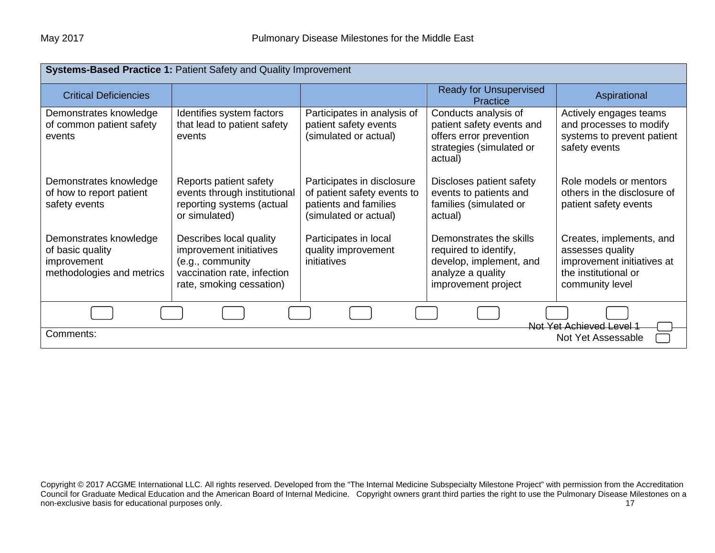| Systems-Based Practice 1: Patient Safety and Quality Improvement                       |                                                                                                                                   |                                                                                                             |                                                                                                                         |                                                                                                                       |
|----------------------------------------------------------------------------------------|-----------------------------------------------------------------------------------------------------------------------------------|-------------------------------------------------------------------------------------------------------------|-------------------------------------------------------------------------------------------------------------------------|-----------------------------------------------------------------------------------------------------------------------|
| <b>Critical Deficiencies</b>                                                           |                                                                                                                                   |                                                                                                             | <b>Ready for Unsupervised</b><br>Practice                                                                               | Aspirational                                                                                                          |
| Demonstrates knowledge<br>of common patient safety<br>events                           | Identifies system factors<br>that lead to patient safety<br>events                                                                | Participates in analysis of<br>patient safety events<br>(simulated or actual)                               | Conducts analysis of<br>patient safety events and<br>offers error prevention<br>strategies (simulated or<br>actual)     | Actively engages teams<br>and processes to modify<br>systems to prevent patient<br>safety events                      |
| Demonstrates knowledge<br>of how to report patient<br>safety events                    | Reports patient safety<br>events through institutional<br>reporting systems (actual<br>or simulated)                              | Participates in disclosure<br>of patient safety events to<br>patients and families<br>(simulated or actual) | Discloses patient safety<br>events to patients and<br>families (simulated or<br>actual)                                 | Role models or mentors<br>others in the disclosure of<br>patient safety events                                        |
| Demonstrates knowledge<br>of basic quality<br>improvement<br>methodologies and metrics | Describes local quality<br>improvement initiatives<br>(e.g., community<br>vaccination rate, infection<br>rate, smoking cessation) | Participates in local<br>quality improvement<br>initiatives                                                 | Demonstrates the skills<br>required to identify,<br>develop, implement, and<br>analyze a quality<br>improvement project | Creates, implements, and<br>assesses quality<br>improvement initiatives at<br>the institutional or<br>community level |
| Not Yet Achieved Level 1<br>Comments:<br>Not Yet Assessable                            |                                                                                                                                   |                                                                                                             |                                                                                                                         |                                                                                                                       |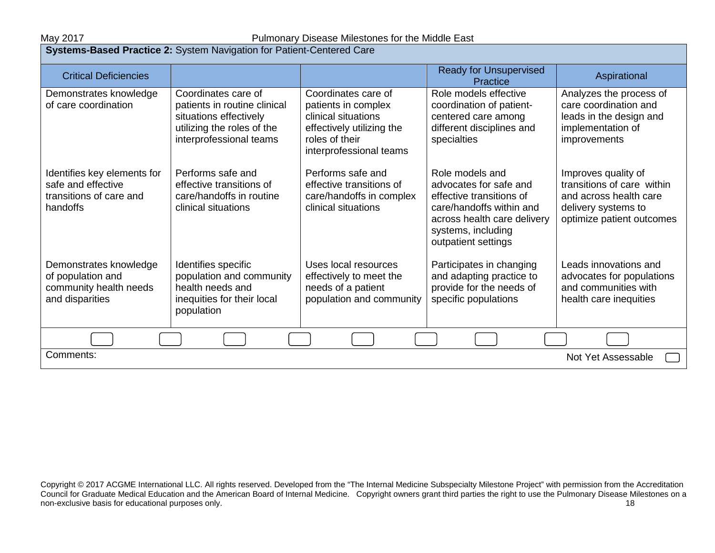#### May 2017 May 2017 **Pulmonary Disease Milestones for the Middle East**

| Systems-Based Practice 2: System Navigation for Patient-Centered Care                    |                                                                                                                                        |                                                                                                                                             |                                                                                                                                                                               |                                                                                                                                 |
|------------------------------------------------------------------------------------------|----------------------------------------------------------------------------------------------------------------------------------------|---------------------------------------------------------------------------------------------------------------------------------------------|-------------------------------------------------------------------------------------------------------------------------------------------------------------------------------|---------------------------------------------------------------------------------------------------------------------------------|
| <b>Critical Deficiencies</b>                                                             |                                                                                                                                        |                                                                                                                                             | <b>Ready for Unsupervised</b><br>Practice                                                                                                                                     | Aspirational                                                                                                                    |
| Demonstrates knowledge<br>of care coordination                                           | Coordinates care of<br>patients in routine clinical<br>situations effectively<br>utilizing the roles of the<br>interprofessional teams | Coordinates care of<br>patients in complex<br>clinical situations<br>effectively utilizing the<br>roles of their<br>interprofessional teams | Role models effective<br>coordination of patient-<br>centered care among<br>different disciplines and<br>specialties                                                          | Analyzes the process of<br>care coordination and<br>leads in the design and<br>implementation of<br>improvements                |
| Identifies key elements for<br>safe and effective<br>transitions of care and<br>handoffs | Performs safe and<br>effective transitions of<br>care/handoffs in routine<br>clinical situations                                       | Performs safe and<br>effective transitions of<br>care/handoffs in complex<br>clinical situations                                            | Role models and<br>advocates for safe and<br>effective transitions of<br>care/handoffs within and<br>across health care delivery<br>systems, including<br>outpatient settings | Improves quality of<br>transitions of care within<br>and across health care<br>delivery systems to<br>optimize patient outcomes |
| Demonstrates knowledge<br>of population and<br>community health needs<br>and disparities | Identifies specific<br>population and community<br>health needs and<br>inequities for their local<br>population                        | Uses local resources<br>effectively to meet the<br>needs of a patient<br>population and community                                           | Participates in changing<br>and adapting practice to<br>provide for the needs of<br>specific populations                                                                      | Leads innovations and<br>advocates for populations<br>and communities with<br>health care inequities                            |
| Comments:<br>Not Yet Assessable                                                          |                                                                                                                                        |                                                                                                                                             |                                                                                                                                                                               |                                                                                                                                 |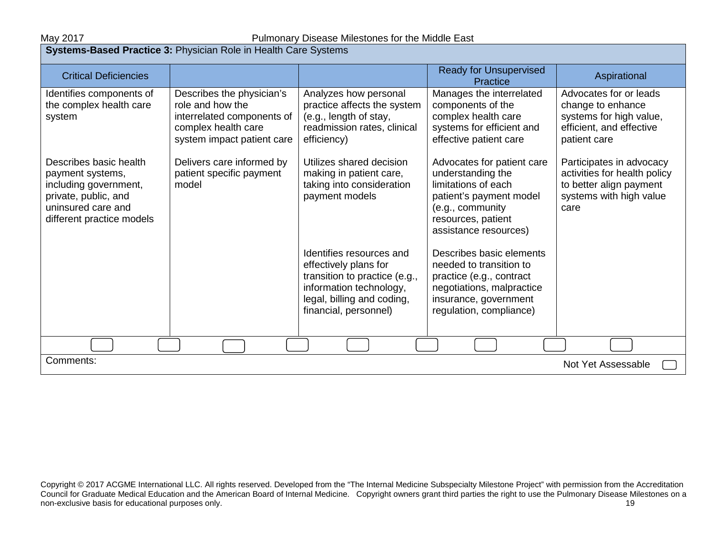## May 2017 May 2017 Mullmonary Disease Milestones for the Middle East

| <b>Systems-Based Practice 3: Physician Role in Health Care Systems</b>                                                                         |                                                                                                                                  |                                                                                                                                                                      |                                                                                                                                                                      |                                                                                                                        |  |
|------------------------------------------------------------------------------------------------------------------------------------------------|----------------------------------------------------------------------------------------------------------------------------------|----------------------------------------------------------------------------------------------------------------------------------------------------------------------|----------------------------------------------------------------------------------------------------------------------------------------------------------------------|------------------------------------------------------------------------------------------------------------------------|--|
| <b>Critical Deficiencies</b>                                                                                                                   |                                                                                                                                  |                                                                                                                                                                      | <b>Ready for Unsupervised</b><br>Practice                                                                                                                            | Aspirational                                                                                                           |  |
| Identifies components of<br>the complex health care<br>system                                                                                  | Describes the physician's<br>role and how the<br>interrelated components of<br>complex health care<br>system impact patient care | Analyzes how personal<br>practice affects the system<br>(e.g., length of stay,<br>readmission rates, clinical<br>efficiency)                                         | Manages the interrelated<br>components of the<br>complex health care<br>systems for efficient and<br>effective patient care                                          | Advocates for or leads<br>change to enhance<br>systems for high value,<br>efficient, and effective<br>patient care     |  |
| Describes basic health<br>payment systems,<br>including government,<br>private, public, and<br>uninsured care and<br>different practice models | Delivers care informed by<br>patient specific payment<br>model                                                                   | Utilizes shared decision<br>making in patient care,<br>taking into consideration<br>payment models                                                                   | Advocates for patient care<br>understanding the<br>limitations of each<br>patient's payment model<br>(e.g., community<br>resources, patient<br>assistance resources) | Participates in advocacy<br>activities for health policy<br>to better align payment<br>systems with high value<br>care |  |
|                                                                                                                                                |                                                                                                                                  | Identifies resources and<br>effectively plans for<br>transition to practice (e.g.,<br>information technology,<br>legal, billing and coding,<br>financial, personnel) | Describes basic elements<br>needed to transition to<br>practice (e.g., contract<br>negotiations, malpractice<br>insurance, government<br>regulation, compliance)     |                                                                                                                        |  |
|                                                                                                                                                |                                                                                                                                  |                                                                                                                                                                      |                                                                                                                                                                      |                                                                                                                        |  |
| Comments:                                                                                                                                      |                                                                                                                                  |                                                                                                                                                                      |                                                                                                                                                                      | Not Yet Assessable                                                                                                     |  |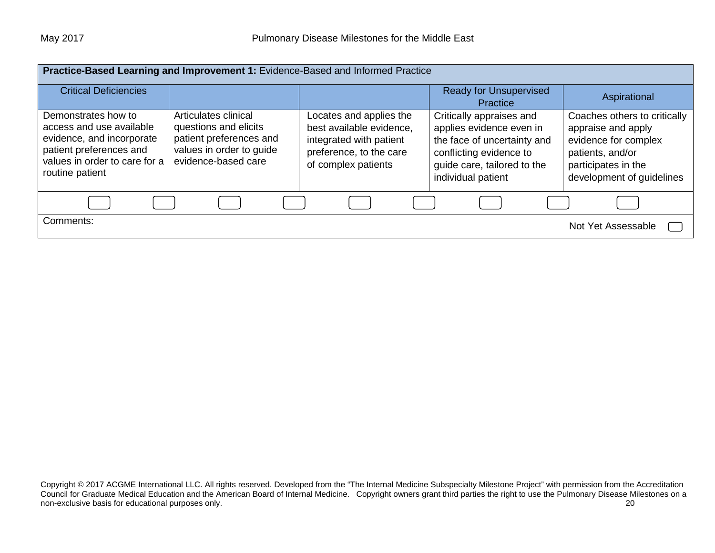|                                                                                                                                                             | Practice-Based Learning and Improvement 1: Evidence-Based and Informed Practice                                             |                                                                                                                                  |                                                                                                                                                                     |                                                                                                                                                    |
|-------------------------------------------------------------------------------------------------------------------------------------------------------------|-----------------------------------------------------------------------------------------------------------------------------|----------------------------------------------------------------------------------------------------------------------------------|---------------------------------------------------------------------------------------------------------------------------------------------------------------------|----------------------------------------------------------------------------------------------------------------------------------------------------|
| <b>Critical Deficiencies</b>                                                                                                                                |                                                                                                                             |                                                                                                                                  | <b>Ready for Unsupervised</b><br><b>Practice</b>                                                                                                                    | Aspirational                                                                                                                                       |
| Demonstrates how to<br>access and use available<br>evidence, and incorporate<br>patient preferences and<br>values in order to care for a<br>routine patient | Articulates clinical<br>questions and elicits<br>patient preferences and<br>values in order to guide<br>evidence-based care | Locates and applies the<br>best available evidence,<br>integrated with patient<br>preference, to the care<br>of complex patients | Critically appraises and<br>applies evidence even in<br>the face of uncertainty and<br>conflicting evidence to<br>guide care, tailored to the<br>individual patient | Coaches others to critically<br>appraise and apply<br>evidence for complex<br>patients, and/or<br>participates in the<br>development of guidelines |
|                                                                                                                                                             |                                                                                                                             |                                                                                                                                  |                                                                                                                                                                     |                                                                                                                                                    |
| Comments:                                                                                                                                                   |                                                                                                                             |                                                                                                                                  |                                                                                                                                                                     | Not Yet Assessable                                                                                                                                 |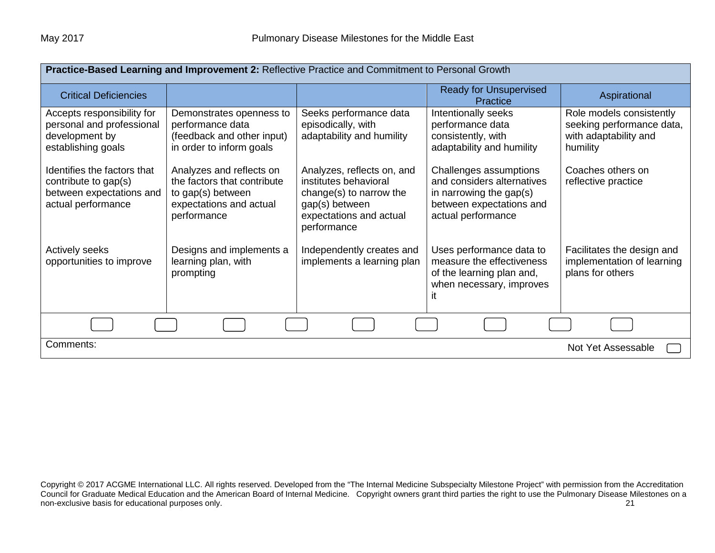| Practice-Based Learning and Improvement 2: Reflective Practice and Commitment to Personal Growth      |                                                                                                                        |                                                                                                                                            |                                                                                                                                   |                                                                                            |
|-------------------------------------------------------------------------------------------------------|------------------------------------------------------------------------------------------------------------------------|--------------------------------------------------------------------------------------------------------------------------------------------|-----------------------------------------------------------------------------------------------------------------------------------|--------------------------------------------------------------------------------------------|
| <b>Critical Deficiencies</b>                                                                          |                                                                                                                        |                                                                                                                                            | <b>Ready for Unsupervised</b><br>Practice                                                                                         | Aspirational                                                                               |
| Accepts responsibility for<br>personal and professional<br>development by<br>establishing goals       | Demonstrates openness to<br>performance data<br>(feedback and other input)<br>in order to inform goals                 | Seeks performance data<br>episodically, with<br>adaptability and humility                                                                  | Intentionally seeks<br>performance data<br>consistently, with<br>adaptability and humility                                        | Role models consistently<br>seeking performance data,<br>with adaptability and<br>humility |
| Identifies the factors that<br>contribute to gap(s)<br>between expectations and<br>actual performance | Analyzes and reflects on<br>the factors that contribute<br>to gap(s) between<br>expectations and actual<br>performance | Analyzes, reflects on, and<br>institutes behavioral<br>change(s) to narrow the<br>gap(s) between<br>expectations and actual<br>performance | Challenges assumptions<br>and considers alternatives<br>in narrowing the gap(s)<br>between expectations and<br>actual performance | Coaches others on<br>reflective practice                                                   |
| <b>Actively seeks</b><br>opportunities to improve                                                     | Designs and implements a<br>learning plan, with<br>prompting                                                           | Independently creates and<br>implements a learning plan                                                                                    | Uses performance data to<br>measure the effectiveness<br>of the learning plan and,<br>when necessary, improves                    | Facilitates the design and<br>implementation of learning<br>plans for others               |
|                                                                                                       |                                                                                                                        |                                                                                                                                            |                                                                                                                                   |                                                                                            |
| Comments:<br>Not Yet Assessable                                                                       |                                                                                                                        |                                                                                                                                            |                                                                                                                                   |                                                                                            |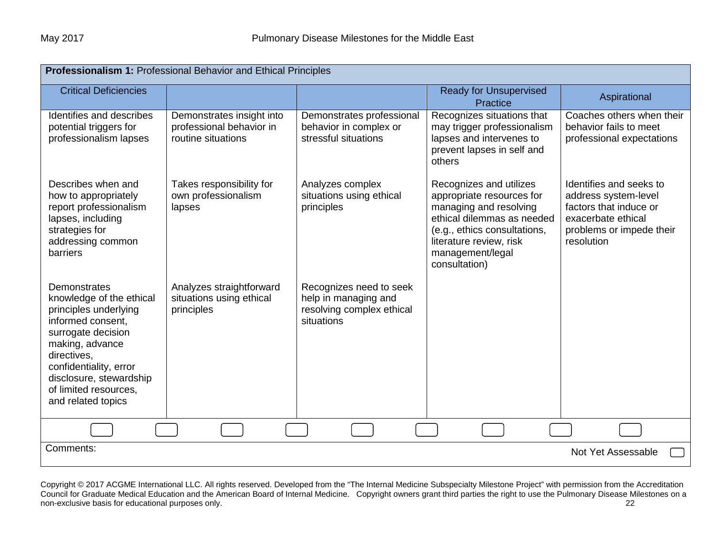| Professionalism 1: Professional Behavior and Ethical Principles                                                                                                                                                                                           |                                                                             |                                                                                            |                                                                                                                                                                                                              |                                                                                                                                           |  |
|-----------------------------------------------------------------------------------------------------------------------------------------------------------------------------------------------------------------------------------------------------------|-----------------------------------------------------------------------------|--------------------------------------------------------------------------------------------|--------------------------------------------------------------------------------------------------------------------------------------------------------------------------------------------------------------|-------------------------------------------------------------------------------------------------------------------------------------------|--|
| <b>Critical Deficiencies</b>                                                                                                                                                                                                                              |                                                                             |                                                                                            | <b>Ready for Unsupervised</b><br>Practice                                                                                                                                                                    | Aspirational                                                                                                                              |  |
| Identifies and describes<br>potential triggers for<br>professionalism lapses                                                                                                                                                                              | Demonstrates insight into<br>professional behavior in<br>routine situations | Demonstrates professional<br>behavior in complex or<br>stressful situations                | Recognizes situations that<br>may trigger professionalism<br>lapses and intervenes to<br>prevent lapses in self and<br>others                                                                                | Coaches others when their<br>behavior fails to meet<br>professional expectations                                                          |  |
| Describes when and<br>how to appropriately<br>report professionalism<br>lapses, including<br>strategies for<br>addressing common<br><b>barriers</b>                                                                                                       | Takes responsibility for<br>own professionalism<br>lapses                   | Analyzes complex<br>situations using ethical<br>principles                                 | Recognizes and utilizes<br>appropriate resources for<br>managing and resolving<br>ethical dilemmas as needed<br>(e.g., ethics consultations,<br>literature review, risk<br>management/legal<br>consultation) | Identifies and seeks to<br>address system-level<br>factors that induce or<br>exacerbate ethical<br>problems or impede their<br>resolution |  |
| <b>Demonstrates</b><br>knowledge of the ethical<br>principles underlying<br>informed consent,<br>surrogate decision<br>making, advance<br>directives,<br>confidentiality, error<br>disclosure, stewardship<br>of limited resources.<br>and related topics | Analyzes straightforward<br>situations using ethical<br>principles          | Recognizes need to seek<br>help in managing and<br>resolving complex ethical<br>situations |                                                                                                                                                                                                              |                                                                                                                                           |  |
|                                                                                                                                                                                                                                                           |                                                                             |                                                                                            |                                                                                                                                                                                                              |                                                                                                                                           |  |
| Comments:<br>Not Yet Assessable                                                                                                                                                                                                                           |                                                                             |                                                                                            |                                                                                                                                                                                                              |                                                                                                                                           |  |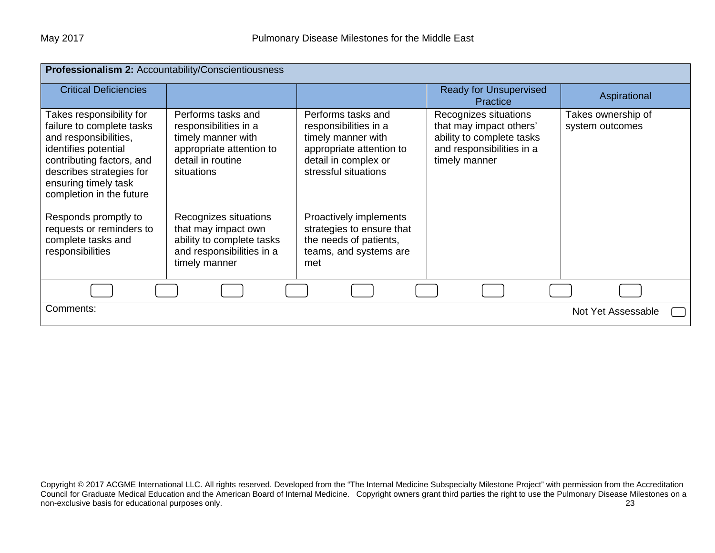| Professionalism 2: Accountability/Conscientiousness                                                                                                                                                                 |                                                                                                                                  |                                                                                                                                               |                                                                                                                             |                                       |
|---------------------------------------------------------------------------------------------------------------------------------------------------------------------------------------------------------------------|----------------------------------------------------------------------------------------------------------------------------------|-----------------------------------------------------------------------------------------------------------------------------------------------|-----------------------------------------------------------------------------------------------------------------------------|---------------------------------------|
| <b>Critical Deficiencies</b>                                                                                                                                                                                        |                                                                                                                                  |                                                                                                                                               | <b>Ready for Unsupervised</b><br>Practice                                                                                   | Aspirational                          |
| Takes responsibility for<br>failure to complete tasks<br>and responsibilities,<br>identifies potential<br>contributing factors, and<br>describes strategies for<br>ensuring timely task<br>completion in the future | Performs tasks and<br>responsibilities in a<br>timely manner with<br>appropriate attention to<br>detail in routine<br>situations | Performs tasks and<br>responsibilities in a<br>timely manner with<br>appropriate attention to<br>detail in complex or<br>stressful situations | Recognizes situations<br>that may impact others'<br>ability to complete tasks<br>and responsibilities in a<br>timely manner | Takes ownership of<br>system outcomes |
| Responds promptly to<br>requests or reminders to<br>complete tasks and<br>responsibilities                                                                                                                          | Recognizes situations<br>that may impact own<br>ability to complete tasks<br>and responsibilities in a<br>timely manner          | Proactively implements<br>strategies to ensure that<br>the needs of patients,<br>teams, and systems are<br>met                                |                                                                                                                             |                                       |
|                                                                                                                                                                                                                     |                                                                                                                                  |                                                                                                                                               |                                                                                                                             |                                       |
| Comments:                                                                                                                                                                                                           |                                                                                                                                  |                                                                                                                                               |                                                                                                                             | Not Yet Assessable                    |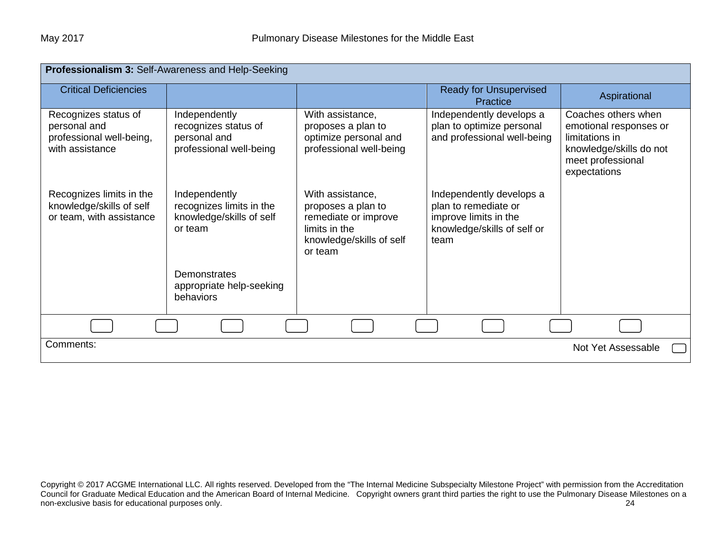| Professionalism 3: Self-Awareness and Help-Seeking                                  |                                                                                  |                                                                                                                        |                                                                                                                  |                                                                                                                                 |  |
|-------------------------------------------------------------------------------------|----------------------------------------------------------------------------------|------------------------------------------------------------------------------------------------------------------------|------------------------------------------------------------------------------------------------------------------|---------------------------------------------------------------------------------------------------------------------------------|--|
| <b>Critical Deficiencies</b>                                                        |                                                                                  |                                                                                                                        | <b>Ready for Unsupervised</b><br>Practice                                                                        | Aspirational                                                                                                                    |  |
| Recognizes status of<br>personal and<br>professional well-being,<br>with assistance | Independently<br>recognizes status of<br>personal and<br>professional well-being | With assistance,<br>proposes a plan to<br>optimize personal and<br>professional well-being                             | Independently develops a<br>plan to optimize personal<br>and professional well-being                             | Coaches others when<br>emotional responses or<br>limitations in<br>knowledge/skills do not<br>meet professional<br>expectations |  |
| Recognizes limits in the<br>knowledge/skills of self<br>or team, with assistance    | Independently<br>recognizes limits in the<br>knowledge/skills of self<br>or team | With assistance,<br>proposes a plan to<br>remediate or improve<br>limits in the<br>knowledge/skills of self<br>or team | Independently develops a<br>plan to remediate or<br>improve limits in the<br>knowledge/skills of self or<br>team |                                                                                                                                 |  |
|                                                                                     | <b>Demonstrates</b><br>appropriate help-seeking<br>behaviors                     |                                                                                                                        |                                                                                                                  |                                                                                                                                 |  |
|                                                                                     |                                                                                  |                                                                                                                        |                                                                                                                  |                                                                                                                                 |  |
| Comments:                                                                           |                                                                                  |                                                                                                                        |                                                                                                                  | Not Yet Assessable                                                                                                              |  |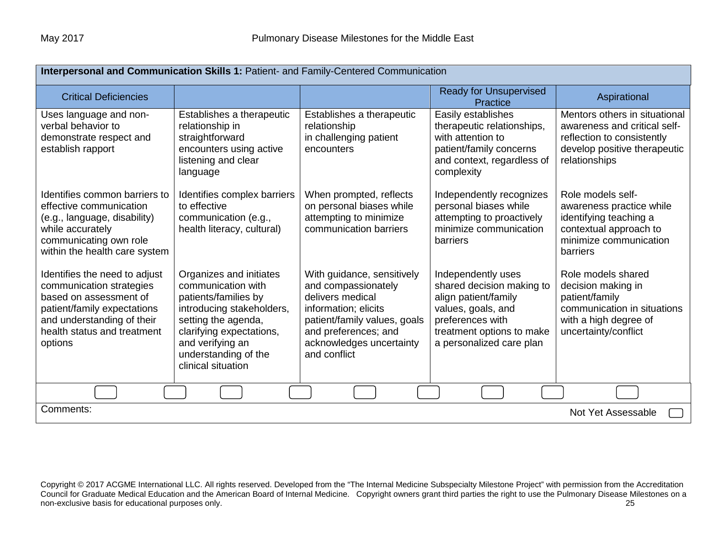| Interpersonal and Communication Skills 1: Patient- and Family-Centered Communication                                                                                                       |                                                                                                                                                                                                                         |                                                                                                                                                                                                   |                                                                                                                                                                            |                                                                                                                                              |  |
|--------------------------------------------------------------------------------------------------------------------------------------------------------------------------------------------|-------------------------------------------------------------------------------------------------------------------------------------------------------------------------------------------------------------------------|---------------------------------------------------------------------------------------------------------------------------------------------------------------------------------------------------|----------------------------------------------------------------------------------------------------------------------------------------------------------------------------|----------------------------------------------------------------------------------------------------------------------------------------------|--|
| <b>Critical Deficiencies</b>                                                                                                                                                               |                                                                                                                                                                                                                         |                                                                                                                                                                                                   | <b>Ready for Unsupervised</b><br>Practice                                                                                                                                  | Aspirational                                                                                                                                 |  |
| Uses language and non-<br>verbal behavior to<br>demonstrate respect and<br>establish rapport                                                                                               | Establishes a therapeutic<br>relationship in<br>straightforward<br>encounters using active<br>listening and clear<br>language                                                                                           | Establishes a therapeutic<br>relationship<br>in challenging patient<br>encounters                                                                                                                 | Easily establishes<br>therapeutic relationships,<br>with attention to<br>patient/family concerns<br>and context, regardless of<br>complexity                               | Mentors others in situational<br>awareness and critical self-<br>reflection to consistently<br>develop positive therapeutic<br>relationships |  |
| Identifies common barriers to<br>effective communication<br>(e.g., language, disability)<br>while accurately<br>communicating own role<br>within the health care system                    | Identifies complex barriers<br>to effective<br>communication (e.g.,<br>health literacy, cultural)                                                                                                                       | When prompted, reflects<br>on personal biases while<br>attempting to minimize<br>communication barriers                                                                                           | Independently recognizes<br>personal biases while<br>attempting to proactively<br>minimize communication<br>barriers                                                       | Role models self-<br>awareness practice while<br>identifying teaching a<br>contextual approach to<br>minimize communication<br>barriers      |  |
| Identifies the need to adjust<br>communication strategies<br>based on assessment of<br>patient/family expectations<br>and understanding of their<br>health status and treatment<br>options | Organizes and initiates<br>communication with<br>patients/families by<br>introducing stakeholders,<br>setting the agenda,<br>clarifying expectations,<br>and verifying an<br>understanding of the<br>clinical situation | With guidance, sensitively<br>and compassionately<br>delivers medical<br>information; elicits<br>patient/family values, goals<br>and preferences; and<br>acknowledges uncertainty<br>and conflict | Independently uses<br>shared decision making to<br>align patient/family<br>values, goals, and<br>preferences with<br>treatment options to make<br>a personalized care plan | Role models shared<br>decision making in<br>patient/family<br>communication in situations<br>with a high degree of<br>uncertainty/conflict   |  |
|                                                                                                                                                                                            |                                                                                                                                                                                                                         |                                                                                                                                                                                                   |                                                                                                                                                                            |                                                                                                                                              |  |
| Comments:<br>Not Yet Assessable                                                                                                                                                            |                                                                                                                                                                                                                         |                                                                                                                                                                                                   |                                                                                                                                                                            |                                                                                                                                              |  |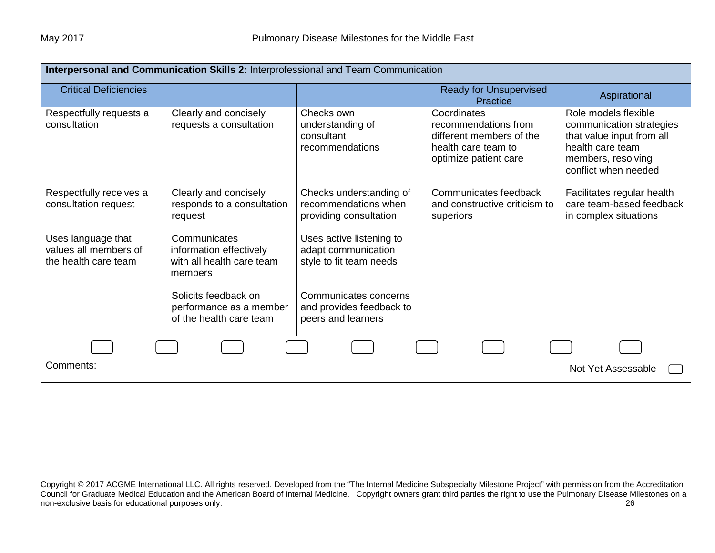| Interpersonal and Communication Skills 2: Interprofessional and Team Communication |                                                                                 |                                                                            |                                                                                                                 |                                                                                                                                                 |  |
|------------------------------------------------------------------------------------|---------------------------------------------------------------------------------|----------------------------------------------------------------------------|-----------------------------------------------------------------------------------------------------------------|-------------------------------------------------------------------------------------------------------------------------------------------------|--|
| <b>Critical Deficiencies</b>                                                       |                                                                                 |                                                                            | <b>Ready for Unsupervised</b><br>Practice                                                                       | Aspirational                                                                                                                                    |  |
| Respectfully requests a<br>consultation                                            | Clearly and concisely<br>requests a consultation                                | Checks own<br>understanding of<br>consultant<br>recommendations            | Coordinates<br>recommendations from<br>different members of the<br>health care team to<br>optimize patient care | Role models flexible<br>communication strategies<br>that value input from all<br>health care team<br>members, resolving<br>conflict when needed |  |
| Respectfully receives a<br>consultation request                                    | Clearly and concisely<br>responds to a consultation<br>request                  | Checks understanding of<br>recommendations when<br>providing consultation  | Communicates feedback<br>and constructive criticism to<br>superiors                                             | Facilitates regular health<br>care team-based feedback<br>in complex situations                                                                 |  |
| Uses language that<br>values all members of<br>the health care team                | Communicates<br>information effectively<br>with all health care team<br>members | Uses active listening to<br>adapt communication<br>style to fit team needs |                                                                                                                 |                                                                                                                                                 |  |
|                                                                                    | Solicits feedback on<br>performance as a member<br>of the health care team      | Communicates concerns<br>and provides feedback to<br>peers and learners    |                                                                                                                 |                                                                                                                                                 |  |
|                                                                                    |                                                                                 |                                                                            |                                                                                                                 |                                                                                                                                                 |  |
| Comments:                                                                          |                                                                                 |                                                                            |                                                                                                                 | Not Yet Assessable                                                                                                                              |  |